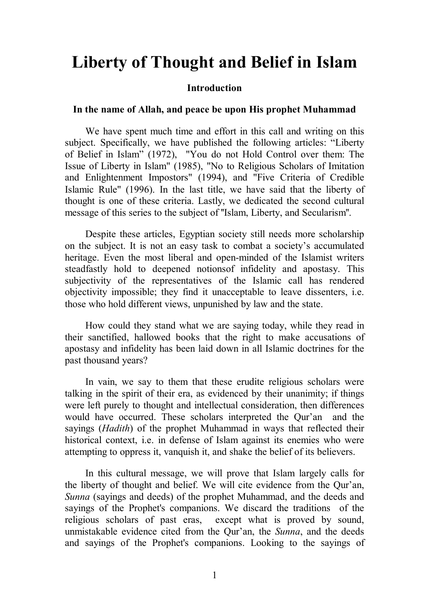# **Liberty of Thought and Belief in Islam**

### **Introduction**

### **In the name of Allah, and peace be upon His prophet Muhammad**

We have spent much time and effort in this call and writing on this subject. Specifically, we have published the following articles: "Liberty of Belief in Islam" (1972), "You do not Hold Control over them: The Issue of Liberty in Islam" (1985), "No to Religious Scholars of Imitation and Enlightenment Impostors" (1994), and "Five Criteria of Credible Islamic Rule" (1996). In the last title, we have said that the liberty of thought is one of these criteria. Lastly, we dedicated the second cultural message of this series to the subject of ''Islam, Liberty, and Secularism''.

Despite these articles, Egyptian society still needs more scholarship on the subject. It is not an easy task to combat a society's accumulated heritage. Even the most liberal and open-minded of the Islamist writers steadfastly hold to deepened notionsof infidelity and apostasy. This subjectivity of the representatives of the Islamic call has rendered objectivity impossible; they find it unacceptable to leave dissenters, i.e. those who hold different views, unpunished by law and the state.

How could they stand what we are saying today, while they read in their sanctified, hallowed books that the right to make accusations of apostasy and infidelity has been laid down in all Islamic doctrines for the past thousand years?

In vain, we say to them that these erudite religious scholars were talking in the spirit of their era, as evidenced by their unanimity; if things were left purely to thought and intellectual consideration, then differences would have occurred. These scholars interpreted the Qur'an and the sayings (*Hadith*) of the prophet Muhammad in ways that reflected their historical context, i.e. in defense of Islam against its enemies who were attempting to oppress it, vanquish it, and shake the belief of its believers.

In this cultural message, we will prove that Islam largely calls for the liberty of thought and belief. We will cite evidence from the Qur'an, *Sunna* (sayings and deeds) of the prophet Muhammad, and the deeds and sayings of the Prophet's companions. We discard the traditions of the religious scholars of past eras, except what is proved by sound, unmistakable evidence cited from the Qur'an, the *Sunna*, and the deeds and sayings of the Prophet's companions. Looking to the sayings of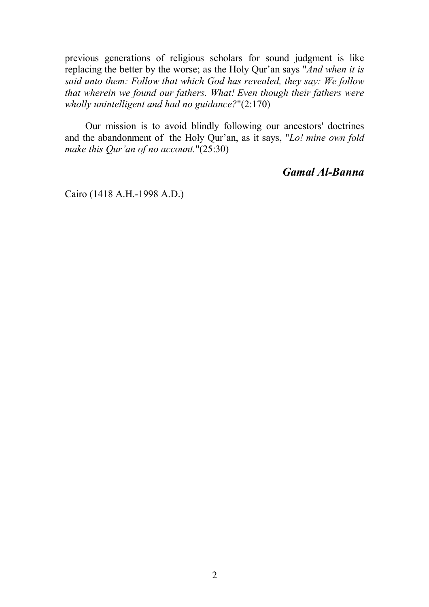previous generations of religious scholars for sound judgment is like replacing the better by the worse; as the Holy Qur'an says "*And when it is said unto them: Follow that which God has revealed, they say: We follow that wherein we found our fathers. What! Even though their fathers were wholly unintelligent and had no guidance?*"(2:170)

Our mission is to avoid blindly following our ancestors' doctrines and the abandonment of the Holy Qur'an, as it says, "*Lo! mine own fold make this Qur'an of no account.*"(25:30)

# *Gamal Al-Banna*

Cairo (1418 A.H.-1998 A.D.)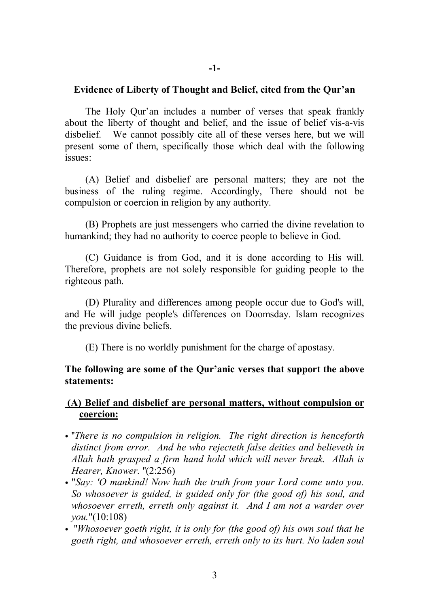### **Evidence of Liberty of Thought and Belief, cited from the Qur'an**

The Holy Qur'an includes a number of verses that speak frankly about the liberty of thought and belief, and the issue of belief vis-a-vis disbelief. We cannot possibly cite all of these verses here, but we will present some of them, specifically those which deal with the following issues:

(A) Belief and disbelief are personal matters; they are not the business of the ruling regime. Accordingly, There should not be compulsion or coercion in religion by any authority.

(B) Prophets are just messengers who carried the divine revelation to humankind; they had no authority to coerce people to believe in God.

(C) Guidance is from God, and it is done according to His will. Therefore, prophets are not solely responsible for guiding people to the righteous path.

(D) Plurality and differences among people occur due to God's will, and He will judge people's differences on Doomsday. Islam recognizes the previous divine beliefs.

(E) There is no worldly punishment for the charge of apostasy.

### **The following are some of the Qur'anic verses that support the above statements:**

### **(A) Belief and disbelief are personal matters, without compulsion or coercion:**

- ''*There is no compulsion in religion. The right direction is henceforth distinct from error. And he who rejecteth false deities and believeth in Allah hath grasped a firm hand hold which will never break. Allah is Hearer, Knower.* "(2:256)
- "*Say: 'O mankind! Now hath the truth from your Lord come unto you. So whosoever is guided, is guided only for (the good of) his soul, and whosoever erreth, erreth only against it. And I am not a warder over you.*"(10:108)
- ''*Whosoever goeth right, it is only for (the good of) his own soul that he goeth right, and whosoever erreth, erreth only to its hurt. No laden soul*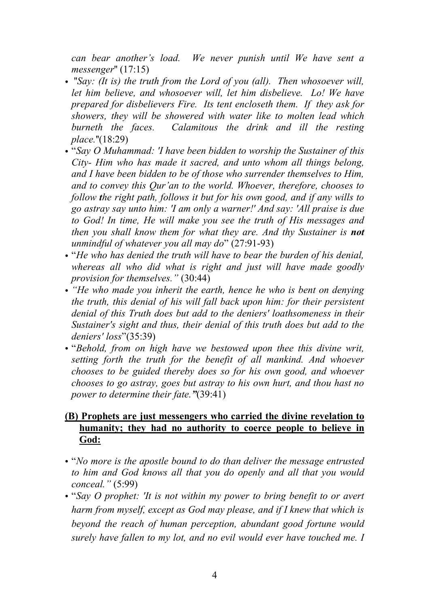*can bear another's load. We never punish until We have sent a messenger*'' (17:15)

- ''*Say: (It is) the truth from the Lord of you (all). Then whosoever will, let him believe, and whosoever will, let him disbelieve. Lo! We have prepared for disbelievers Fire. Its tent encloseth them. If they ask for showers, they will be showered with water like to molten lead which burneth the faces. Calamitous the drink and ill the resting place.*''(18:29)
- "*Say O Muhammad: 'I have been bidden to worship the Sustainer of this City- Him who has made it sacred, and unto whom all things belong, and I have been bidden to be of those who surrender themselves to Him, and to convey this Qur'an to the world. Whoever, therefore, chooses to follow the right path, follows it but for his own good, and if any wills to go astray say unto him: 'I am only a warner!' And say: 'All praise is due to God! In time, He will make you see the truth of His messages and then you shall know them for what they are. And thy Sustainer is not unmindful of whatever you all may do*" (27:91-93)
- "*He who has denied the truth will have to bear the burden of his denial, whereas all who did what is right and just will have made goodly provision for themselves."* (30:44)
- *"He who made you inherit the earth, hence he who is bent on denying the truth, this denial of his will fall back upon him: for their persistent denial of this Truth does but add to the deniers' loathsomeness in their Sustainer's sight and thus, their denial of this truth does but add to the deniers' loss*"(35:39)
- "*Behold, from on high have we bestowed upon thee this divine writ, setting forth the truth for the benefit of all mankind. And whoever chooses to be guided thereby does so for his own good, and whoever chooses to go astray, goes but astray to his own hurt, and thou hast no power to determine their fate."*(39:41)

## **(B) Prophets are just messengers who carried the divine revelation to humanity; they had no authority to coerce people to believe in God:**

- "*No more is the apostle bound to do than deliver the message entrusted to him and God knows all that you do openly and all that you would conceal."* (5:99)
- "*Say O prophet: 'It is not within my power to bring benefit to or avert harm from myself, except as God may please, and if I knew that which is beyond the reach of human perception, abundant good fortune would surely have fallen to my lot, and no evil would ever have touched me. I*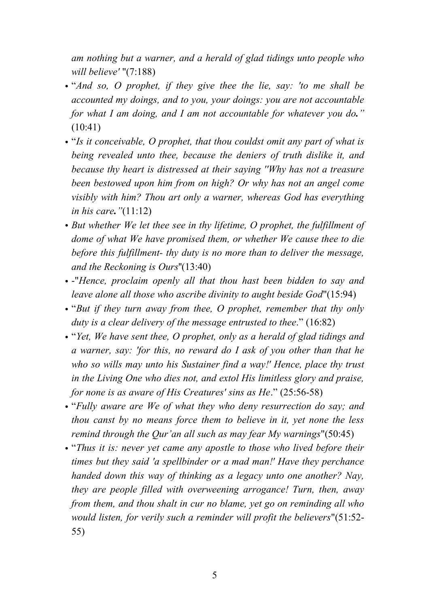*am nothing but a warner, and a herald of glad tidings unto people who will believe'* "(7:188)

- "*And so, O prophet, if they give thee the lie, say: 'to me shall be accounted my doings, and to you, your doings: you are not accountable for what I am doing, and I am not accountable for whatever you do."*  (10:41)
- "*Is it conceivable, O prophet, that thou couldst omit any part of what is being revealed unto thee, because the deniers of truth dislike it, and because thy heart is distressed at their saying ''Why has not a treasure been bestowed upon him from on high? Or why has not an angel come visibly with him? Thou art only a warner, whereas God has everything in his care."*(11:12)
- *But whether We let thee see in thy lifetime, O prophet, the fulfillment of dome of what We have promised them, or whether We cause thee to die before this fulfillment- thy duty is no more than to deliver the message, and the Reckoning is Ours*''(13:40)
- -"*Hence, proclaim openly all that thou hast been bidden to say and leave alone all those who ascribe divinity to aught beside God*"(15:94)
- "*But if they turn away from thee, O prophet, remember that thy only duty is a clear delivery of the message entrusted to thee*." (16:82)
- "*Yet, We have sent thee, O prophet, only as a herald of glad tidings and a warner, say: 'for this, no reward do I ask of you other than that he who so wills may unto his Sustainer find a way!' Hence, place thy trust in the Living One who dies not, and extol His limitless glory and praise, for none is as aware of His Creatures' sins as He*." (25:56-58)
- "*Fully aware are We of what they who deny resurrection do say; and thou canst by no means force them to believe in it, yet none the less remind through the Qur'an all such as may fear My warnings*"(50:45)
- "*Thus it is: never yet came any apostle to those who lived before their times but they said 'a spellbinder or a mad man!' Have they perchance handed down this way of thinking as a legacy unto one another? Nay, they are people filled with overweening arrogance! Turn, then, away from them, and thou shalt in cur no blame, yet go on reminding all who would listen, for verily such a reminder will profit the believers*"(51:52- 55)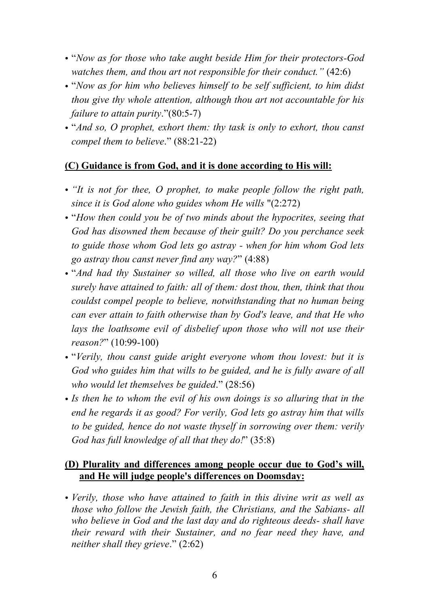- "*Now as for those who take aught beside Him for their protectors-God watches them, and thou art not responsible for their conduct."* (42:6)
- "*Now as for him who believes himself to be self sufficient, to him didst thou give thy whole attention, although thou art not accountable for his failure to attain purity*."(80:5-7)
- "*And so, O prophet, exhort them: thy task is only to exhort, thou canst compel them to believe*." (88:21-22)

## **(C) Guidance is from God, and it is done according to His will:**

- *"It is not for thee, O prophet, to make people follow the right path, since it is God alone who guides whom He wills* "(2:272)
- "*How then could you be of two minds about the hypocrites, seeing that God has disowned them because of their guilt? Do you perchance seek to guide those whom God lets go astray - when for him whom God lets go astray thou canst never find any way?*" (4:88)
- "*And had thy Sustainer so willed, all those who live on earth would surely have attained to faith: all of them: dost thou, then, think that thou couldst compel people to believe, notwithstanding that no human being can ever attain to faith otherwise than by God's leave, and that He who*  lays the loathsome evil of disbelief upon those who will not use their *reason?*" (10:99-100)
- "*Verily, thou canst guide aright everyone whom thou lovest: but it is God who guides him that wills to be guided, and he is fully aware of all who would let themselves be guided*." (28:56)
- *Is then he to whom the evil of his own doings is so alluring that in the end he regards it as good? For verily, God lets go astray him that wills to be guided, hence do not waste thyself in sorrowing over them: verily God has full knowledge of all that they do!*" (35:8)

### **(D) Plurality and differences among people occur due to God's will, and He will judge people's differences on Doomsday:**

• *Verily, those who have attained to faith in this divine writ as well as those who follow the Jewish faith, the Christians, and the Sabians- all who believe in God and the last day and do righteous deeds- shall have their reward with their Sustainer, and no fear need they have, and neither shall they grieve*." (2:62)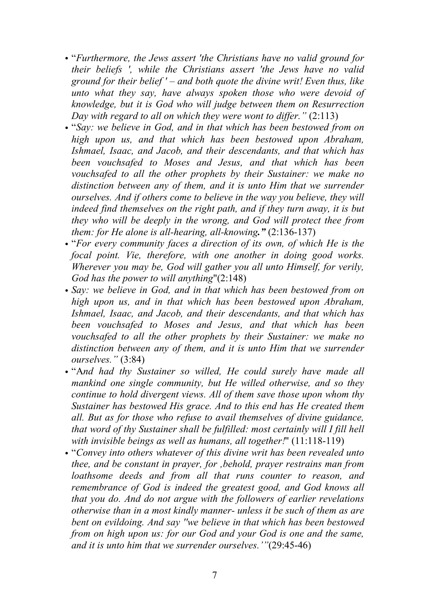- "*Furthermore, the Jews assert 'the Christians have no valid ground for their beliefs ', while the Christians assert 'the Jews have no valid ground for their belief ' – and both quote the divine writ! Even thus, like unto what they say, have always spoken those who were devoid of knowledge, but it is God who will judge between them on Resurrection Day with regard to all on which they were wont to differ."* (2:113)
- "*Say: we believe in God, and in that which has been bestowed from on high upon us, and that which has been bestowed upon Abraham, Ishmael, Isaac, and Jacob, and their descendants, and that which has been vouchsafed to Moses and Jesus, and that which has been vouchsafed to all the other prophets by their Sustainer: we make no distinction between any of them, and it is unto Him that we surrender ourselves. And if others come to believe in the way you believe, they will indeed find themselves on the right path, and if they turn away, it is but they who will be deeply in the wrong, and God will protect thee from them: for He alone is all-hearing, all-knowing."* (2:136-137)
- "*For every community faces a direction of its own, of which He is the focal point. Vie, therefore, with one another in doing good works. Wherever you may be, God will gather you all unto Himself, for verily, God has the power to will anything*"(2:148)
- *Say: we believe in God, and in that which has been bestowed from on high upon us, and in that which has been bestowed upon Abraham, Ishmael, Isaac, and Jacob, and their descendants, and that which has been vouchsafed to Moses and Jesus, and that which has been vouchsafed to all the other prophets by their Sustainer: we make no distinction between any of them, and it is unto Him that we surrender ourselves."* (3:84)
- "A*nd had thy Sustainer so willed, He could surely have made all mankind one single community, but He willed otherwise, and so they continue to hold divergent views. All of them save those upon whom thy Sustainer has bestowed His grace. And to this end has He created them all. But as for those who refuse to avail themselves of divine guidance, that word of thy Sustainer shall be fulfilled: most certainly will I fill hell with invisible beings as well as humans, all together!*" (11:118-119)
- "*Convey into others whatever of this divine writ has been revealed unto thee, and be constant in prayer, for ,behold, prayer restrains man from loathsome deeds and from all that runs counter to reason, and remembrance of God is indeed the greatest good, and God knows all that you do. And do not argue with the followers of earlier revelations otherwise than in a most kindly manner- unless it be such of them as are bent on evildoing. And say ''we believe in that which has been bestowed from on high upon us: for our God and your God is one and the same, and it is unto him that we surrender ourselves.'"*(29:45-46)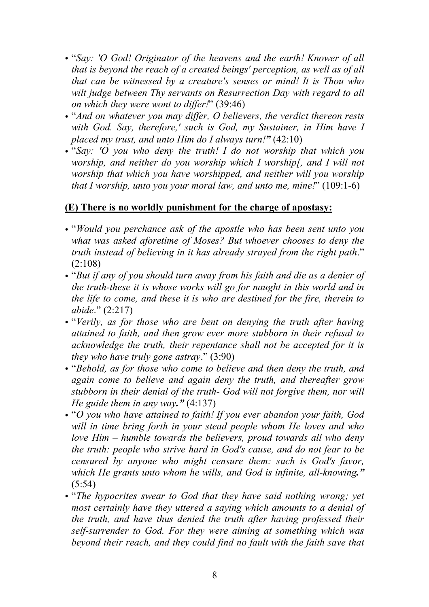- "*Say: 'O God! Originator of the heavens and the earth! Knower of all that is beyond the reach of a created beings' perception, as well as of all that can be witnessed by a creature's senses or mind! It is Thou who wilt judge between Thy servants on Resurrection Day with regard to all on which they were wont to differ!*" (39:46)
- "*And on whatever you may differ, O believers, the verdict thereon rests with God. Say, therefore,' such is God, my Sustainer, in Him have I placed my trust, and unto Him do I always turn!"* (42:10)
- "*Say: 'O you who deny the truth! I do not worship that which you worship, and neither do you worship which I worship[, and I will not worship that which you have worshipped, and neither will you worship that I worship, unto you your moral law, and unto me, mine!*" (109:1-6)

# **(E) There is no worldly punishment for the charge of apostasy:**

- "*Would you perchance ask of the apostle who has been sent unto you what was asked aforetime of Moses? But whoever chooses to deny the truth instead of believing in it has already strayed from the right path*." (2:108)
- "*But if any of you should turn away from his faith and die as a denier of the truth-these it is whose works will go for naught in this world and in the life to come, and these it is who are destined for the fire, therein to abide*." (2:217)
- "*Verily, as for those who are bent on denying the truth after having attained to faith, and then grow ever more stubborn in their refusal to acknowledge the truth, their repentance shall not be accepted for it is they who have truly gone astray*." (3:90)
- "*Behold, as for those who come to believe and then deny the truth, and again come to believe and again deny the truth, and thereafter grow stubborn in their denial of the truth- God will not forgive them, nor will He guide them in any way."* (4:137)
- "*O you who have attained to faith! If you ever abandon your faith, God will in time bring forth in your stead people whom He loves and who love Him – humble towards the believers, proud towards all who deny the truth: people who strive hard in God's cause, and do not fear to be censured by anyone who might censure them: such is God's favor, which He grants unto whom he wills, and God is infinite, all-knowing."*   $(5:54)$
- "*The hypocrites swear to God that they have said nothing wrong; yet most certainly have they uttered a saying which amounts to a denial of the truth, and have thus denied the truth after having professed their self-surrender to God. For they were aiming at something which was beyond their reach, and they could find no fault with the faith save that*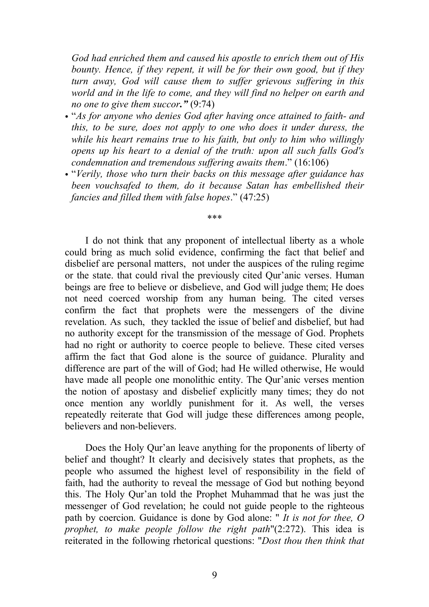*God had enriched them and caused his apostle to enrich them out of His bounty. Hence, if they repent, it will be for their own good, but if they turn away, God will cause them to suffer grievous suffering in this world and in the life to come, and they will find no helper on earth and no one to give them succor."* (9:74)

- "*As for anyone who denies God after having once attained to faith- and this, to be sure, does not apply to one who does it under duress, the while his heart remains true to his faith, but only to him who willingly opens up his heart to a denial of the truth: upon all such falls God's condemnation and tremendous suffering awaits them*." (16:106)
- "*Verily, those who turn their backs on this message after guidance has been vouchsafed to them, do it because Satan has embellished their fancies and filled them with false hopes*." (47:25)

\*\*\*

I do not think that any proponent of intellectual liberty as a whole could bring as much solid evidence, confirming the fact that belief and disbelief are personal matters, not under the auspices of the ruling regime or the state. that could rival the previously cited Qur'anic verses. Human beings are free to believe or disbelieve, and God will judge them; He does not need coerced worship from any human being. The cited verses confirm the fact that prophets were the messengers of the divine revelation. As such, they tackled the issue of belief and disbelief, but had no authority except for the transmission of the message of God. Prophets had no right or authority to coerce people to believe. These cited verses affirm the fact that God alone is the source of guidance. Plurality and difference are part of the will of God; had He willed otherwise, He would have made all people one monolithic entity. The Qur'anic verses mention the notion of apostasy and disbelief explicitly many times; they do not once mention any worldly punishment for it. As well, the verses repeatedly reiterate that God will judge these differences among people, believers and non-believers.

Does the Holy Qur'an leave anything for the proponents of liberty of belief and thought? It clearly and decisively states that prophets, as the people who assumed the highest level of responsibility in the field of faith, had the authority to reveal the message of God but nothing beyond this. The Holy Qur'an told the Prophet Muhammad that he was just the messenger of God revelation; he could not guide people to the righteous path by coercion. Guidance is done by God alone: " *It is not for thee, O prophet, to make people follow the right path*"(2:272). This idea is reiterated in the following rhetorical questions: "*Dost thou then think that*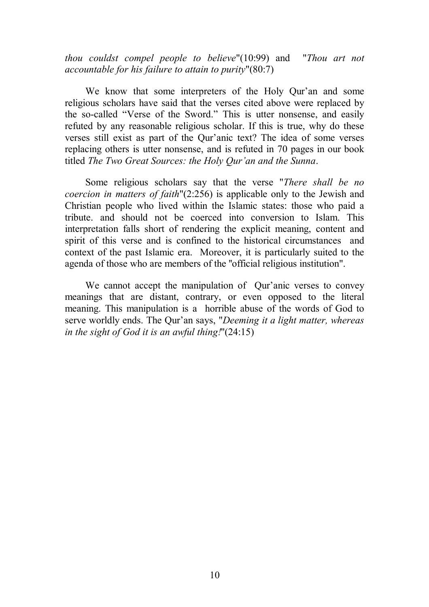*thou couldst compel people to believe*"(10:99) and "*Thou art not accountable for his failure to attain to purity*"(80:7)

We know that some interpreters of the Holy Qur'an and some religious scholars have said that the verses cited above were replaced by the so-called "Verse of the Sword." This is utter nonsense, and easily refuted by any reasonable religious scholar. If this is true, why do these verses still exist as part of the Qur'anic text? The idea of some verses replacing others is utter nonsense, and is refuted in 70 pages in our book titled *The Two Great Sources: the Holy Qur'an and the Sunna*.

Some religious scholars say that the verse "*There shall be no coercion in matters of faith*"(2:256) is applicable only to the Jewish and Christian people who lived within the Islamic states: those who paid a tribute. and should not be coerced into conversion to Islam. This interpretation falls short of rendering the explicit meaning, content and spirit of this verse and is confined to the historical circumstances and context of the past Islamic era. Moreover, it is particularly suited to the agenda of those who are members of the ''official religious institution".

We cannot accept the manipulation of Qur'anic verses to convey meanings that are distant, contrary, or even opposed to the literal meaning. This manipulation is a horrible abuse of the words of God to serve worldly ends. The Qur'an says, "*Deeming it a light matter, whereas in the sight of God it is an awful thing!*"(24:15)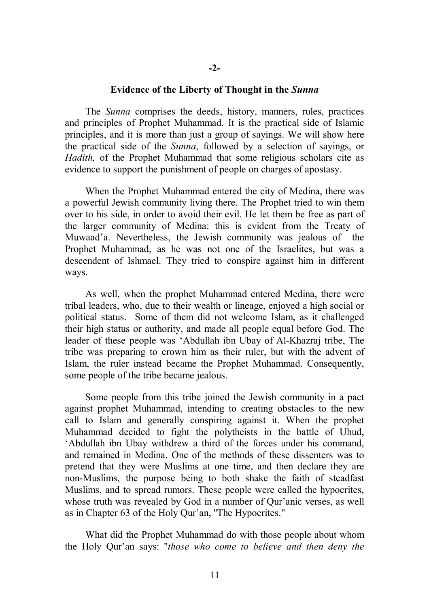#### **Evidence of the Liberty of Thought in the** *Sunna*

The *Sunna* comprises the deeds, history, manners, rules, practices and principles of Prophet Muhammad. It is the practical side of Islamic principles, and it is more than just a group of sayings. We will show here the practical side of the *Sunna*, followed by a selection of sayings, or *Hadith,* of the Prophet Muhammad that some religious scholars cite as evidence to support the punishment of people on charges of apostasy.

When the Prophet Muhammad entered the city of Medina, there was a powerful Jewish community living there. The Prophet tried to win them over to his side, in order to avoid their evil. He let them be free as part of the larger community of Medina: this is evident from the Treaty of Muwaad'a. Nevertheless, the Jewish community was jealous of the Prophet Muhammad, as he was not one of the Israelites, but was a descendent of Ishmael. They tried to conspire against him in different ways.

As well, when the prophet Muhammad entered Medina, there were tribal leaders, who, due to their wealth or lineage, enjoyed a high social or political status. Some of them did not welcome Islam, as it challenged their high status or authority, and made all people equal before God. The leader of these people was 'Abdullah ibn Ubay of Al-Khazraj tribe, The tribe was preparing to crown him as their ruler, but with the advent of Islam, the ruler instead became the Prophet Muhammad. Consequently, some people of the tribe became jealous.

Some people from this tribe joined the Jewish community in a pact against prophet Muhammad, intending to creating obstacles to the new call to Islam and generally conspiring against it. When the prophet Muhammad decided to fight the polytheists in the battle of Uhud, 'Abdullah ibn Ubay withdrew a third of the forces under his command, and remained in Medina. One of the methods of these dissenters was to pretend that they were Muslims at one time, and then declare they are non-Muslims, the purpose being to both shake the faith of steadfast Muslims, and to spread rumors. These people were called the hypocrites, whose truth was revealed by God in a number of Qur'anic verses, as well as in Chapter 63 of the Holy Qur'an, ''The Hypocrites."

What did the Prophet Muhammad do with those people about whom the Holy Qur'an says: "*those who come to believe and then deny the*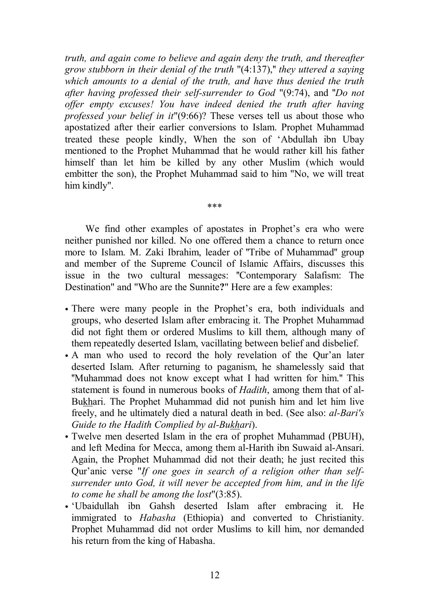*truth, and again come to believe and again deny the truth, and thereafter grow stubborn in their denial of the truth* "(4:137),'' *they uttered a saying which amounts to a denial of the truth, and have thus denied the truth after having professed their self-surrender to God* "(9:74), and ''*Do not offer empty excuses! You have indeed denied the truth after having professed your belief in it*"(9:66)? These verses tell us about those who apostatized after their earlier conversions to Islam. Prophet Muhammad treated these people kindly, When the son of 'Abdullah ibn Ubay mentioned to the Prophet Muhammad that he would rather kill his father himself than let him be killed by any other Muslim (which would embitter the son), the Prophet Muhammad said to him "No, we will treat him kindly".

\*\*\*

We find other examples of apostates in Prophet's era who were neither punished nor killed. No one offered them a chance to return once more to Islam. M. Zaki Ibrahim, leader of ''Tribe of Muhammad'' group and member of the Supreme Council of Islamic Affairs, discusses this issue in the two cultural messages: ''Contemporary Salafism: The Destination" and "Who are the Sunnite**?**" Here are a few examples:

- There were many people in the Prophet's era, both individuals and groups, who deserted Islam after embracing it. The Prophet Muhammad did not fight them or ordered Muslims to kill them, although many of them repeatedly deserted Islam, vacillating between belief and disbelief.
- A man who used to record the holy revelation of the Qur'an later deserted Islam. After returning to paganism, he shamelessly said that ''Muhammad does not know except what I had written for him.'' This statement is found in numerous books of *Hadith*, among them that of al-Bukhari. The Prophet Muhammad did not punish him and let him live freely, and he ultimately died a natural death in bed. (See also: *al-Bari's Guide to the Hadith Complied by al-Bukhari*).
- Twelve men deserted Islam in the era of prophet Muhammad (PBUH), and left Medina for Mecca, among them al-Harith ibn Suwaid al-Ansari. Again, the Prophet Muhammad did not their death; he just recited this Qur'anic verse "*If one goes in search of a religion other than selfsurrender unto God, it will never be accepted from him, and in the life to come he shall be among the lost*"(3:85).
- 'Ubaidullah ibn Gahsh deserted Islam after embracing it. He immigrated to *Habasha* (Ethiopia) and converted to Christianity. Prophet Muhammad did not order Muslims to kill him, nor demanded his return from the king of Habasha.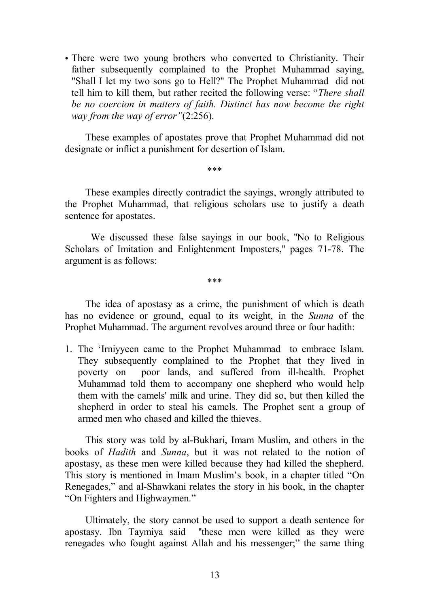• There were two young brothers who converted to Christianity. Their father subsequently complained to the Prophet Muhammad saying, "Shall I let my two sons go to Hell?" The Prophet Muhammad did not tell him to kill them, but rather recited the following verse: "*There shall be no coercion in matters of faith. Distinct has now become the right way from the way of error"*(2:256).

These examples of apostates prove that Prophet Muhammad did not designate or inflict a punishment for desertion of Islam.

\*\*\*

These examples directly contradict the sayings, wrongly attributed to the Prophet Muhammad, that religious scholars use to justify a death sentence for apostates.

We discussed these false sayings in our book, ''No to Religious Scholars of Imitation and Enlightenment Imposters,'' pages 71-78. The argument is as follows:

\*\*\*

The idea of apostasy as a crime, the punishment of which is death has no evidence or ground, equal to its weight, in the *Sunna* of the Prophet Muhammad. The argument revolves around three or four hadith:

1. The 'Irniyyeen came to the Prophet Muhammad to embrace Islam. They subsequently complained to the Prophet that they lived in poverty on poor lands, and suffered from ill-health. Prophet Muhammad told them to accompany one shepherd who would help them with the camels' milk and urine. They did so, but then killed the shepherd in order to steal his camels. The Prophet sent a group of armed men who chased and killed the thieves.

This story was told by al-Bukhari, Imam Muslim, and others in the books of *Hadith* and *Sunna*, but it was not related to the notion of apostasy, as these men were killed because they had killed the shepherd. This story is mentioned in Imam Muslim's book, in a chapter titled "On Renegades," and al-Shawkani relates the story in his book, in the chapter "On Fighters and Highwaymen."

Ultimately, the story cannot be used to support a death sentence for apostasy. Ibn Taymiya said ''these men were killed as they were renegades who fought against Allah and his messenger;" the same thing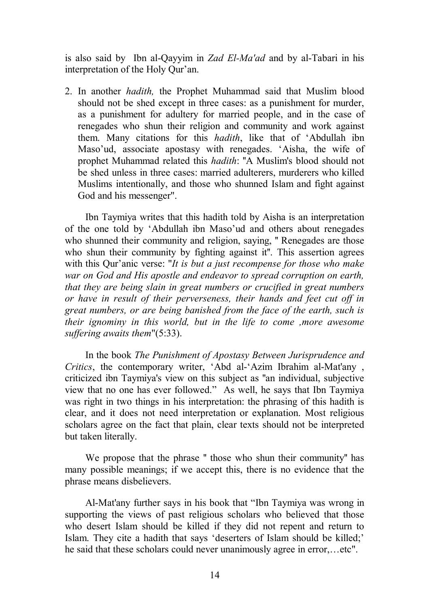is also said by Ibn al-Qayyim in *Zad El-Ma'ad* and by al-Tabari in his interpretation of the Holy Qur'an.

2. In another *hadith,* the Prophet Muhammad said that Muslim blood should not be shed except in three cases: as a punishment for murder, as a punishment for adultery for married people, and in the case of renegades who shun their religion and community and work against them. Many citations for this *hadith*, like that of 'Abdullah ibn Maso'ud, associate apostasy with renegades. 'Aisha, the wife of prophet Muhammad related this *hadith*: ''A Muslim's blood should not be shed unless in three cases: married adulterers, murderers who killed Muslims intentionally, and those who shunned Islam and fight against God and his messenger".

Ibn Taymiya writes that this hadith told by Aisha is an interpretation of the one told by 'Abdullah ibn Maso'ud and others about renegades who shunned their community and religion, saying, "Renegades are those who shun their community by fighting against it". This assertion agrees with this Qur'anic verse: "*It is but a just recompense for those who make war on God and His apostle and endeavor to spread corruption on earth, that they are being slain in great numbers or crucified in great numbers or have in result of their perverseness, their hands and feet cut off in great numbers, or are being banished from the face of the earth, such is their ignominy in this world, but in the life to come ,more awesome suffering awaits them*"(5:33).

In the book *The Punishment of Apostasy Between Jurisprudence and Critics*, the contemporary writer, 'Abd al-'Azim Ibrahim al-Mat'any , criticized ibn Taymiya's view on this subject as ''an individual, subjective view that no one has ever followed." As well, he says that Ibn Taymiya was right in two things in his interpretation: the phrasing of this hadith is clear, and it does not need interpretation or explanation. Most religious scholars agree on the fact that plain, clear texts should not be interpreted but taken literally.

We propose that the phrase '' those who shun their community'' has many possible meanings; if we accept this, there is no evidence that the phrase means disbelievers.

Al-Mat'any further says in his book that "Ibn Taymiya was wrong in supporting the views of past religious scholars who believed that those who desert Islam should be killed if they did not repent and return to Islam. They cite a hadith that says 'deserters of Islam should be killed;' he said that these scholars could never unanimously agree in error,…etc".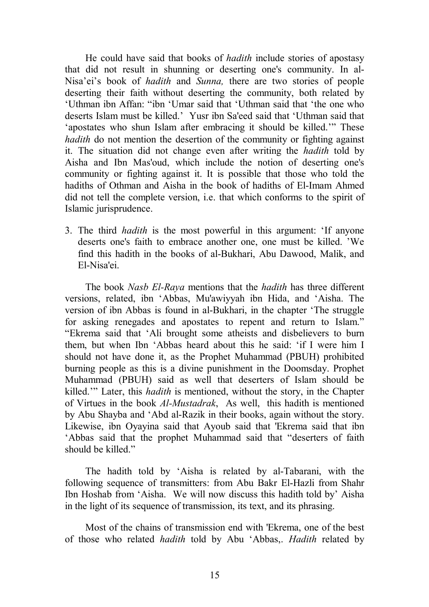He could have said that books of *hadith* include stories of apostasy that did not result in shunning or deserting one's community. In al-Nisa'ei's book of *hadith* and *Sunna,* there are two stories of people deserting their faith without deserting the community, both related by 'Uthman ibn Affan: "ibn 'Umar said that 'Uthman said that 'the one who deserts Islam must be killed.' Yusr ibn Sa'eed said that 'Uthman said that 'apostates who shun Islam after embracing it should be killed.'" These *hadith* do not mention the desertion of the community or fighting against it. The situation did not change even after writing the *hadith* told by Aisha and Ibn Mas'oud, which include the notion of deserting one's community or fighting against it. It is possible that those who told the hadiths of Othman and Aisha in the book of hadiths of El-Imam Ahmed did not tell the complete version, i.e. that which conforms to the spirit of Islamic jurisprudence.

3. The third *hadith* is the most powerful in this argument: 'If anyone deserts one's faith to embrace another one, one must be killed. 'We find this hadith in the books of al-Bukhari, Abu Dawood, Malik, and El-Nisa'ei.

The book *Nasb El-Raya* mentions that the *hadith* has three different versions, related, ibn 'Abbas, Mu'awiyyah ibn Hida, and 'Aisha. The version of ibn Abbas is found in al-Bukhari, in the chapter 'The struggle for asking renegades and apostates to repent and return to Islam." "Ekrema said that 'Ali brought some atheists and disbelievers to burn them, but when Ibn 'Abbas heard about this he said: 'if I were him I should not have done it, as the Prophet Muhammad (PBUH) prohibited burning people as this is a divine punishment in the Doomsday. Prophet Muhammad (PBUH) said as well that deserters of Islam should be killed.'" Later, this *hadith* is mentioned, without the story, in the Chapter of Virtues in the book *Al-Mustadrak*, As well, this hadith is mentioned by Abu Shayba and 'Abd al-Razik in their books, again without the story. Likewise, ibn Oyayina said that Ayoub said that 'Ekrema said that ibn 'Abbas said that the prophet Muhammad said that "deserters of faith should be killed."

The hadith told by 'Aisha is related by al-Tabarani, with the following sequence of transmitters: from Abu Bakr El-Hazli from Shahr Ibn Hoshab from 'Aisha. We will now discuss this hadith told by' Aisha in the light of its sequence of transmission, its text, and its phrasing.

Most of the chains of transmission end with 'Ekrema, one of the best of those who related *hadith* told by Abu 'Abbas,. *Hadith* related by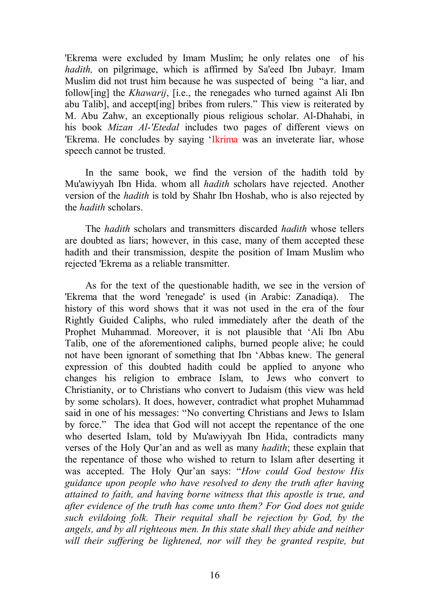'Ekrema were excluded by Imam Muslim; he only relates one of his *hadith*, on pilgrimage, which is affirmed by Sa'eed Ibn Jubayr. Imam Muslim did not trust him because he was suspected of being "a liar, and follow[ing] the *Khawarij*, [i.e., the renegades who turned against Ali Ibn abu Talib], and accept[ing] bribes from rulers." This view is reiterated by M. Abu Zahw, an exceptionally pious religious scholar. Al-Dhahabi, in his book *Mizan Al-'Etedal* includes two pages of different views on 'Ekrema. He concludes by saying 'Ikrima was an inveterate liar, whose speech cannot be trusted.

In the same book, we find the version of the hadith told by Mu'awiyyah Ibn Hida. whom all *hadith* scholars have rejected. Another version of the *hadith* is told by Shahr Ibn Hoshab, who is also rejected by the *hadith* scholars.

The *hadith* scholars and transmitters discarded *hadith* whose tellers are doubted as liars; however, in this case, many of them accepted these hadith and their transmission, despite the position of Imam Muslim who rejected 'Ekrema as a reliable transmitter.

As for the text of the questionable hadith, we see in the version of 'Ekrema that the word 'renegade' is used (in Arabic: Zanadiqa). The history of this word shows that it was not used in the era of the four Rightly Guided Caliphs, who ruled immediately after the death of the Prophet Muhammad. Moreover, it is not plausible that 'Ali Ibn Abu Talib, one of the aforementioned caliphs, burned people alive; he could not have been ignorant of something that Ibn 'Abbas knew. The general expression of this doubted hadith could be applied to anyone who changes his religion to embrace Islam, to Jews who convert to Christianity, or to Christians who convert to Judaism (this view was held by some scholars). It does, however, contradict what prophet Muhammad said in one of his messages: "No converting Christians and Jews to Islam by force." The idea that God will not accept the repentance of the one who deserted Islam, told by Mu'awiyyah Ibn Hida, contradicts many verses of the Holy Qur'an and as well as many *hadith*; these explain that the repentance of those who wished to return to Islam after deserting it was accepted. The Holy Qur'an says: "*How could God bestow His guidance upon people who have resolved to deny the truth after having attained to faith, and having borne witness that this apostle is true, and after evidence of the truth has come unto them? For God does not guide such evildoing folk. Their requital shall be rejection by God, by the angels, and by all righteous men. In this state shall they abide and neither*  will their suffering be lightened, nor will they be granted respite, but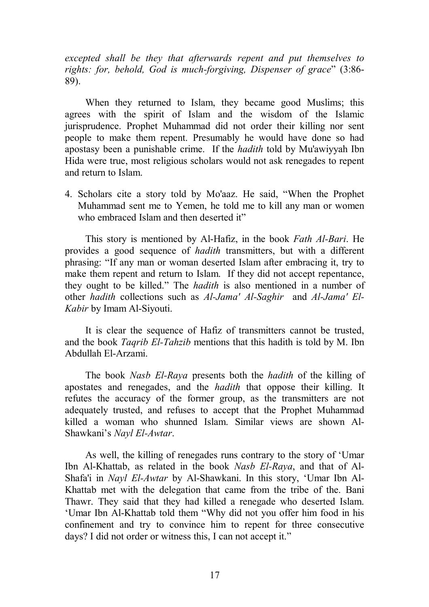*excepted shall be they that afterwards repent and put themselves to rights: for, behold, God is much-forgiving, Dispenser of grace*" (3:86- 89).

When they returned to Islam, they became good Muslims; this agrees with the spirit of Islam and the wisdom of the Islamic jurisprudence. Prophet Muhammad did not order their killing nor sent people to make them repent. Presumably he would have done so had apostasy been a punishable crime. If the *hadith* told by Mu'awiyyah Ibn Hida were true, most religious scholars would not ask renegades to repent and return to Islam.

4. Scholars cite a story told by Mo'aaz. He said, "When the Prophet Muhammad sent me to Yemen, he told me to kill any man or women who embraced Islam and then deserted it"

This story is mentioned by Al-Hafiz, in the book *Fath Al-Bari*. He provides a good sequence of *hadith* transmitters, but with a different phrasing: "If any man or woman deserted Islam after embracing it, try to make them repent and return to Islam. If they did not accept repentance, they ought to be killed." The *hadith* is also mentioned in a number of other *hadith* collections such as *Al-Jama' Al-Saghir* and *Al-Jama' El-Kabir* by Imam Al-Siyouti.

It is clear the sequence of Hafiz of transmitters cannot be trusted, and the book *Taqrib El-Tahzib* mentions that this hadith is told by M. Ibn Abdullah El-Arzami.

The book *Nasb El-Raya* presents both the *hadith* of the killing of apostates and renegades, and the *hadith* that oppose their killing. It refutes the accuracy of the former group, as the transmitters are not adequately trusted, and refuses to accept that the Prophet Muhammad killed a woman who shunned Islam. Similar views are shown Al-Shawkani's *Nayl El-Awtar*.

As well, the killing of renegades runs contrary to the story of 'Umar Ibn Al-Khattab, as related in the book *Nasb El-Raya*, and that of Al-Shafa'i in *Nayl El-Awtar* by Al-Shawkani. In this story, 'Umar Ibn Al-Khattab met with the delegation that came from the tribe of the. Bani Thawr. They said that they had killed a renegade who deserted Islam. 'Umar Ibn Al-Khattab told them "Why did not you offer him food in his confinement and try to convince him to repent for three consecutive days? I did not order or witness this, I can not accept it."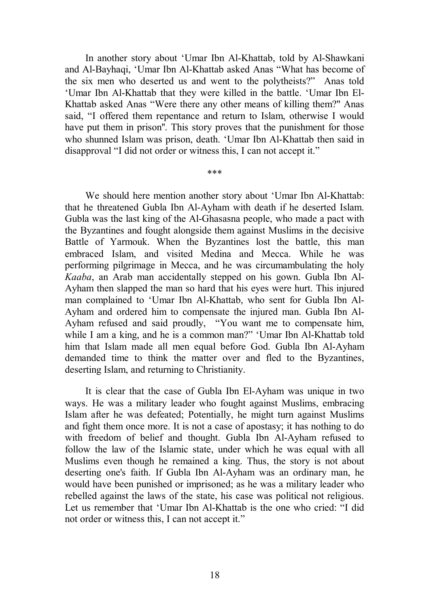In another story about 'Umar Ibn Al-Khattab, told by Al-Shawkani and Al-Bayhaqi, 'Umar Ibn Al-Khattab asked Anas "What has become of the six men who deserted us and went to the polytheists?" Anas told 'Umar Ibn Al-Khattab that they were killed in the battle. 'Umar Ibn El-Khattab asked Anas "Were there any other means of killing them?" Anas said, "I offered them repentance and return to Islam, otherwise I would have put them in prison''. This story proves that the punishment for those who shunned Islam was prison, death. 'Umar Ibn Al-Khattab then said in disapproval "I did not order or witness this, I can not accept it."

\*\*\*

We should here mention another story about 'Umar Ibn Al-Khattab: that he threatened Gubla Ibn Al-Ayham with death if he deserted Islam. Gubla was the last king of the Al-Ghasasna people, who made a pact with the Byzantines and fought alongside them against Muslims in the decisive Battle of Yarmouk. When the Byzantines lost the battle, this man embraced Islam, and visited Medina and Mecca. While he was performing pilgrimage in Mecca, and he was circumambulating the holy *Kaaba*, an Arab man accidentally stepped on his gown. Gubla Ibn Al-Ayham then slapped the man so hard that his eyes were hurt. This injured man complained to 'Umar Ibn Al-Khattab, who sent for Gubla Ibn Al-Ayham and ordered him to compensate the injured man. Gubla Ibn Al-Ayham refused and said proudly, "You want me to compensate him, while I am a king, and he is a common man?" 'Umar Ibn Al-Khattab told him that Islam made all men equal before God. Gubla Ibn Al-Ayham demanded time to think the matter over and fled to the Byzantines, deserting Islam, and returning to Christianity.

It is clear that the case of Gubla Ibn El-Ayham was unique in two ways. He was a military leader who fought against Muslims, embracing Islam after he was defeated; Potentially, he might turn against Muslims and fight them once more. It is not a case of apostasy; it has nothing to do with freedom of belief and thought. Gubla Ibn Al-Ayham refused to follow the law of the Islamic state, under which he was equal with all Muslims even though he remained a king. Thus, the story is not about deserting one's faith. If Gubla Ibn Al-Ayham was an ordinary man, he would have been punished or imprisoned; as he was a military leader who rebelled against the laws of the state, his case was political not religious. Let us remember that 'Umar Ibn Al-Khattab is the one who cried: "I did not order or witness this, I can not accept it."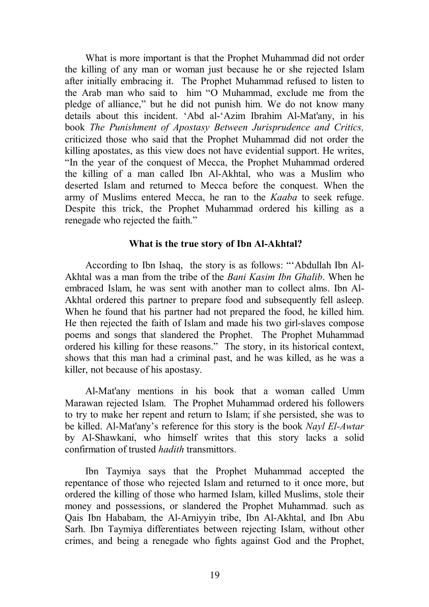What is more important is that the Prophet Muhammad did not order the killing of any man or woman just because he or she rejected Islam after initially embracing it. The Prophet Muhammad refused to listen to the Arab man who said to him "O Muhammad, exclude me from the pledge of alliance," but he did not punish him. We do not know many details about this incident. 'Abd al-'Azim Ibrahim Al-Mat'any, in his book *The Punishment of Apostasy Between Jurisprudence and Critics,* criticized those who said that the Prophet Muhammad did not order the killing apostates, as this view does not have evidential support. He writes, "In the year of the conquest of Mecca, the Prophet Muhammad ordered the killing of a man called Ibn Al-Akhtal, who was a Muslim who deserted Islam and returned to Mecca before the conquest. When the army of Muslims entered Mecca, he ran to the *Kaaba* to seek refuge. Despite this trick, the Prophet Muhammad ordered his killing as a renegade who rejected the faith."

### **What is the true story of Ibn Al-Akhtal?**

According to Ibn Ishaq, the story is as follows: "'Abdullah Ibn Al-Akhtal was a man from the tribe of the *Bani Kasim Ibn Ghalib*. When he embraced Islam, he was sent with another man to collect alms. Ibn Al-Akhtal ordered this partner to prepare food and subsequently fell asleep. When he found that his partner had not prepared the food, he killed him. He then rejected the faith of Islam and made his two girl-slaves compose poems and songs that slandered the Prophet. The Prophet Muhammad ordered his killing for these reasons." The story, in its historical context, shows that this man had a criminal past, and he was killed, as he was a killer, not because of his apostasy.

Al-Mat'any mentions in his book that a woman called Umm Marawan rejected Islam. The Prophet Muhammad ordered his followers to try to make her repent and return to Islam; if she persisted, she was to be killed. Al-Mat'any's reference for this story is the book *Nayl El-Awtar* by Al-Shawkani, who himself writes that this story lacks a solid confirmation of trusted *hadith* transmittors.

Ibn Taymiya says that the Prophet Muhammad accepted the repentance of those who rejected Islam and returned to it once more, but ordered the killing of those who harmed Islam, killed Muslims, stole their money and possessions, or slandered the Prophet Muhammad. such as Qais Ibn Hababam, the Al-Arniyyin tribe, Ibn Al-Akhtal, and Ibn Abu Sarh. Ibn Taymiya differentiates between rejecting Islam, without other crimes, and being a renegade who fights against God and the Prophet,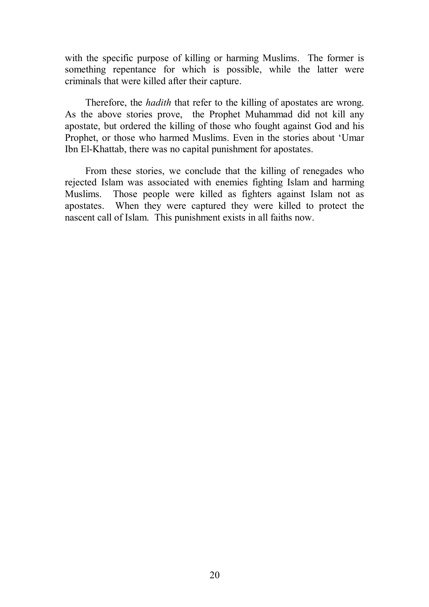with the specific purpose of killing or harming Muslims. The former is something repentance for which is possible, while the latter were criminals that were killed after their capture.

Therefore, the *hadith* that refer to the killing of apostates are wrong. As the above stories prove, the Prophet Muhammad did not kill any apostate, but ordered the killing of those who fought against God and his Prophet, or those who harmed Muslims. Even in the stories about 'Umar Ibn El-Khattab, there was no capital punishment for apostates.

From these stories, we conclude that the killing of renegades who rejected Islam was associated with enemies fighting Islam and harming Muslims. Those people were killed as fighters against Islam not as apostates. When they were captured they were killed to protect the nascent call of Islam. This punishment exists in all faiths now.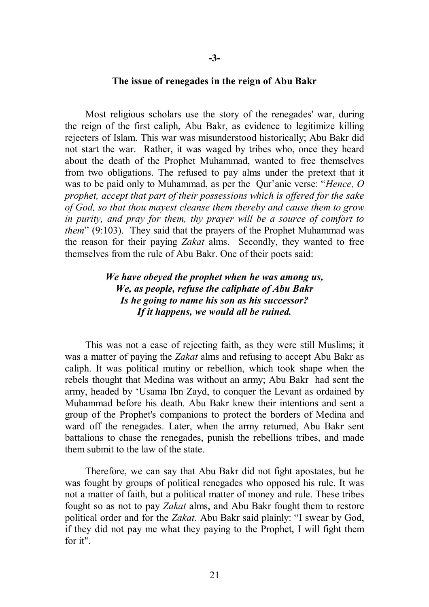#### **The issue of renegades in the reign of Abu Bakr**

Most religious scholars use the story of the renegades' war, during the reign of the first caliph, Abu Bakr, as evidence to legitimize killing rejecters of Islam. This war was misunderstood historically; Abu Bakr did not start the war. Rather, it was waged by tribes who, once they heard about the death of the Prophet Muhammad, wanted to free themselves from two obligations. The refused to pay alms under the pretext that it was to be paid only to Muhammad, as per the Qur'anic verse: "*Hence, O prophet, accept that part of their possessions which is offered for the sake of God, so that thou mayest cleanse them thereby and cause them to grow in purity, and pray for them, thy prayer will be a source of comfort to them*" (9:103). They said that the prayers of the Prophet Muhammad was the reason for their paying *Zakat* alms. Secondly, they wanted to free themselves from the rule of Abu Bakr. One of their poets said:

### *We have obeyed the prophet when he was among us, We, as people, refuse the caliphate of Abu Bakr Is he going to name his son as his successor? If it happens, we would all be ruined.*

This was not a case of rejecting faith, as they were still Muslims; it was a matter of paying the *Zakat* alms and refusing to accept Abu Bakr as caliph. It was political mutiny or rebellion, which took shape when the rebels thought that Medina was without an army; Abu Bakr had sent the army, headed by 'Usama Ibn Zayd, to conquer the Levant as ordained by Muhammad before his death. Abu Bakr knew their intentions and sent a group of the Prophet's companions to protect the borders of Medina and ward off the renegades. Later, when the army returned, Abu Bakr sent battalions to chase the renegades, punish the rebellions tribes, and made them submit to the law of the state.

Therefore, we can say that Abu Bakr did not fight apostates, but he was fought by groups of political renegades who opposed his rule. It was not a matter of faith, but a political matter of money and rule. These tribes fought so as not to pay *Zakat* alms, and Abu Bakr fought them to restore political order and for the *Zakat*. Abu Bakr said plainly: "I swear by God, if they did not pay me what they paying to the Prophet, I will fight them for it".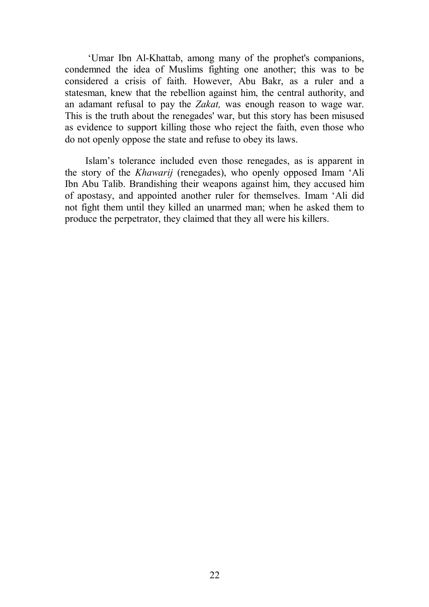'Umar Ibn Al-Khattab, among many of the prophet's companions, condemned the idea of Muslims fighting one another; this was to be considered a crisis of faith. However, Abu Bakr, as a ruler and a statesman, knew that the rebellion against him, the central authority, and an adamant refusal to pay the *Zakat,* was enough reason to wage war. This is the truth about the renegades' war, but this story has been misused as evidence to support killing those who reject the faith, even those who do not openly oppose the state and refuse to obey its laws.

Islam's tolerance included even those renegades, as is apparent in the story of the *Khawarij* (renegades), who openly opposed Imam 'Ali Ibn Abu Talib. Brandishing their weapons against him, they accused him of apostasy, and appointed another ruler for themselves. Imam 'Ali did not fight them until they killed an unarmed man; when he asked them to produce the perpetrator, they claimed that they all were his killers.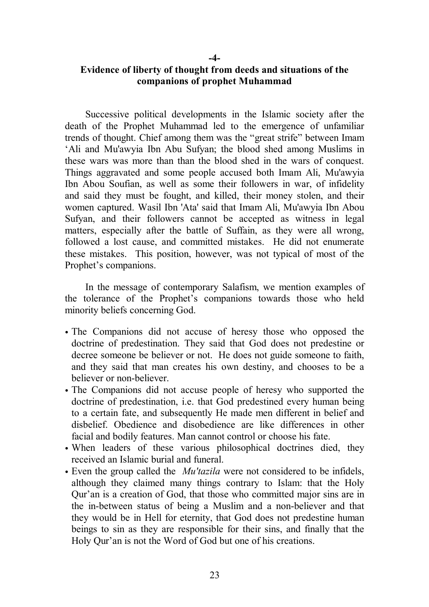### **-4-**

### **Evidence of liberty of thought from deeds and situations of the companions of prophet Muhammad**

Successive political developments in the Islamic society after the death of the Prophet Muhammad led to the emergence of unfamiliar trends of thought. Chief among them was the "great strife" between Imam 'Ali and Mu'awyia Ibn Abu Sufyan; the blood shed among Muslims in these wars was more than than the blood shed in the wars of conquest. Things aggravated and some people accused both Imam Ali, Mu'awyia Ibn Abou Soufian, as well as some their followers in war, of infidelity and said they must be fought, and killed, their money stolen, and their women captured. Wasil Ibn 'Ata' said that Imam Ali, Mu'awyia Ibn Abou Sufyan, and their followers cannot be accepted as witness in legal matters, especially after the battle of Suffain, as they were all wrong, followed a lost cause, and committed mistakes. He did not enumerate these mistakes. This position, however, was not typical of most of the Prophet's companions.

In the message of contemporary Salafism, we mention examples of the tolerance of the Prophet's companions towards those who held minority beliefs concerning God.

- The Companions did not accuse of heresy those who opposed the doctrine of predestination. They said that God does not predestine or decree someone be believer or not. He does not guide someone to faith, and they said that man creates his own destiny, and chooses to be a believer or non-believer.
- The Companions did not accuse people of heresy who supported the doctrine of predestination, i.e. that God predestined every human being to a certain fate, and subsequently He made men different in belief and disbelief. Obedience and disobedience are like differences in other facial and bodily features. Man cannot control or choose his fate.
- When leaders of these various philosophical doctrines died, they received an Islamic burial and funeral.
- Even the group called the *Mu'tazila* were not considered to be infidels, although they claimed many things contrary to Islam: that the Holy Qur'an is a creation of God, that those who committed major sins are in the in-between status of being a Muslim and a non-believer and that they would be in Hell for eternity, that God does not predestine human beings to sin as they are responsible for their sins, and finally that the Holy Qur'an is not the Word of God but one of his creations.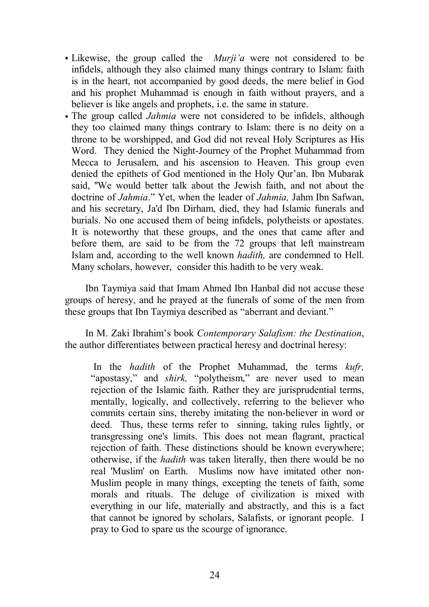- Likewise, the group called the *Murji'a* were not considered to be infidels, although they also claimed many things contrary to Islam: faith is in the heart, not accompanied by good deeds, the mere belief in God and his prophet Muhammad is enough in faith without prayers, and a believer is like angels and prophets, i.e. the same in stature.
- The group called *Jahmia* were not considered to be infidels, although they too claimed many things contrary to Islam: there is no deity on a throne to be worshipped, and God did not reveal Holy Scriptures as His Word. They denied the Night-Journey of the Prophet Muhammad from Mecca to Jerusalem, and his ascension to Heaven. This group even denied the epithets of God mentioned in the Holy Qur'an. Ibn Mubarak said, ''We would better talk about the Jewish faith, and not about the doctrine of *Jahmia*." Yet, when the leader of *Jahmia,* Jahm Ibn Safwan, and his secretary, Ja'd Ibn Dirham, died, they had Islamic funerals and burials. No one accused them of being infidels, polytheists or apostates. It is noteworthy that these groups, and the ones that came after and before them, are said to be from the 72 groups that left mainstream Islam and, according to the well known *hadith,* are condemned to Hell. Many scholars, however, consider this hadith to be very weak.

Ibn Taymiya said that Imam Ahmed Ibn Hanbal did not accuse these groups of heresy, and he prayed at the funerals of some of the men from these groups that Ibn Taymiya described as "aberrant and deviant."

In M. Zaki Ibrahim's book *Contemporary Salafism: the Destination*, the author differentiates between practical heresy and doctrinal heresy:

 In the *hadith* of the Prophet Muhammad, the terms *kufr,*  "apostasy," and *shirk,* "polytheism," are never used to mean rejection of the Islamic faith. Rather they are jurisprudential terms, mentally, logically, and collectively, referring to the believer who commits certain sins, thereby imitating the non-believer in word or deed. Thus, these terms refer to sinning, taking rules lightly, or transgressing one's limits. This does not mean flagrant, practical rejection of faith. These distinctions should be known everywhere; otherwise, if the *hadith* was taken literally, then there would be no real 'Muslim' on Earth. Muslims now have imitated other non-Muslim people in many things, excepting the tenets of faith, some morals and rituals. The deluge of civilization is mixed with everything in our life, materially and abstractly, and this is a fact that cannot be ignored by scholars, Salafists, or ignorant people. I pray to God to spare us the scourge of ignorance.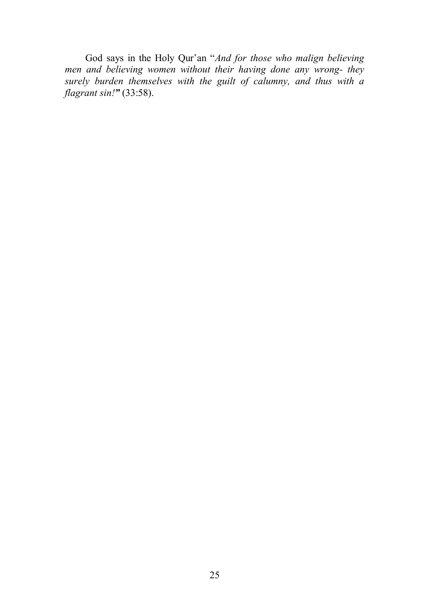God says in the Holy Qur'an "*And for those who malign believing men and believing women without their having done any wrong- they surely burden themselves with the guilt of calumny, and thus with a flagrant sin!"* (33:58).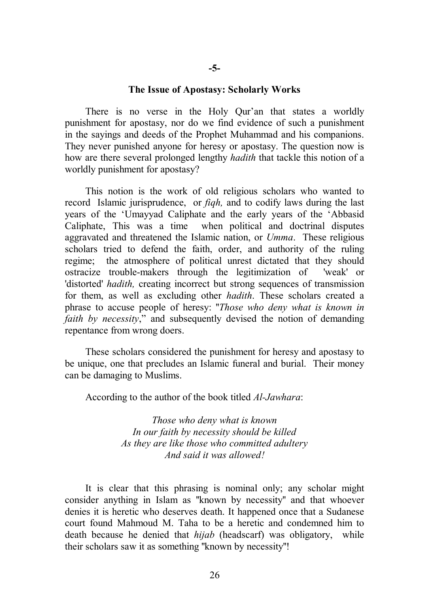#### **The Issue of Apostasy: Scholarly Works**

There is no verse in the Holy Qur'an that states a worldly punishment for apostasy, nor do we find evidence of such a punishment in the sayings and deeds of the Prophet Muhammad and his companions. They never punished anyone for heresy or apostasy. The question now is how are there several prolonged lengthy *hadith* that tackle this notion of a worldly punishment for apostasy?

This notion is the work of old religious scholars who wanted to record Islamic jurisprudence, or *fiqh,* and to codify laws during the last years of the 'Umayyad Caliphate and the early years of the 'Abbasid Caliphate, This was a time when political and doctrinal disputes aggravated and threatened the Islamic nation, or *Umma*. These religious scholars tried to defend the faith, order, and authority of the ruling regime; the atmosphere of political unrest dictated that they should ostracize trouble-makers through the legitimization of 'weak' or 'distorted' *hadith,* creating incorrect but strong sequences of transmission for them, as well as excluding other *hadith*. These scholars created a phrase to accuse people of heresy: ''*Those who deny what is known in faith by necessity*," and subsequently devised the notion of demanding repentance from wrong doers.

These scholars considered the punishment for heresy and apostasy to be unique, one that precludes an Islamic funeral and burial. Their money can be damaging to Muslims.

According to the author of the book titled *Al-Jawhara*:

*Those who deny what is known In our faith by necessity should be killed As they are like those who committed adultery And said it was allowed!*

It is clear that this phrasing is nominal only; any scholar might consider anything in Islam as ''known by necessity'' and that whoever denies it is heretic who deserves death. It happened once that a Sudanese court found Mahmoud M. Taha to be a heretic and condemned him to death because he denied that *hijab* (headscarf) was obligatory, while their scholars saw it as something ''known by necessity''!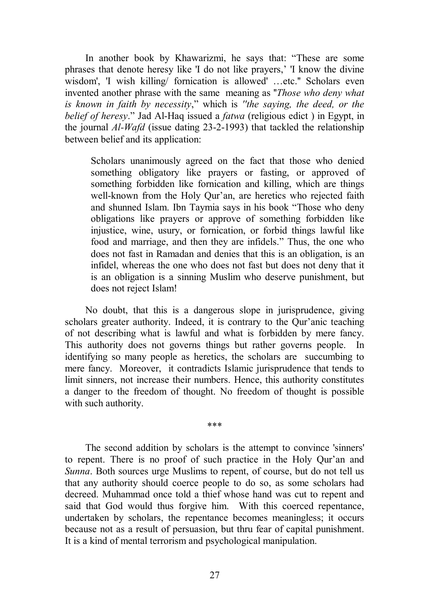In another book by Khawarizmi, he says that: "These are some phrases that denote heresy like 'I do not like prayers,' 'I know the divine wisdom', 'I wish killing/ fornication is allowed' …etc.'' Scholars even invented another phrase with the same meaning as ''*Those who deny what is known in faith by necessity*," which is *''the saying, the deed, or the belief of heresy*." Jad Al-Haq issued a *fatwa* (religious edict ) in Egypt, in the journal *Al-Wafd* (issue dating 23-2-1993) that tackled the relationship between belief and its application:

Scholars unanimously agreed on the fact that those who denied something obligatory like prayers or fasting, or approved of something forbidden like fornication and killing, which are things well-known from the Holy Qur'an, are heretics who rejected faith and shunned Islam. Ibn Taymia says in his book "Those who deny obligations like prayers or approve of something forbidden like injustice, wine, usury, or fornication, or forbid things lawful like food and marriage, and then they are infidels." Thus, the one who does not fast in Ramadan and denies that this is an obligation, is an infidel, whereas the one who does not fast but does not deny that it is an obligation is a sinning Muslim who deserve punishment, but does not reject Islam!

No doubt, that this is a dangerous slope in jurisprudence, giving scholars greater authority. Indeed, it is contrary to the Qur'anic teaching of not describing what is lawful and what is forbidden by mere fancy. This authority does not governs things but rather governs people. In identifying so many people as heretics, the scholars are succumbing to mere fancy. Moreover, it contradicts Islamic jurisprudence that tends to limit sinners, not increase their numbers. Hence, this authority constitutes a danger to the freedom of thought. No freedom of thought is possible with such authority.

\*\*\*

The second addition by scholars is the attempt to convince 'sinners' to repent. There is no proof of such practice in the Holy Qur'an and *Sunna*. Both sources urge Muslims to repent, of course, but do not tell us that any authority should coerce people to do so, as some scholars had decreed. Muhammad once told a thief whose hand was cut to repent and said that God would thus forgive him. With this coerced repentance, undertaken by scholars, the repentance becomes meaningless; it occurs because not as a result of persuasion, but thru fear of capital punishment. It is a kind of mental terrorism and psychological manipulation.